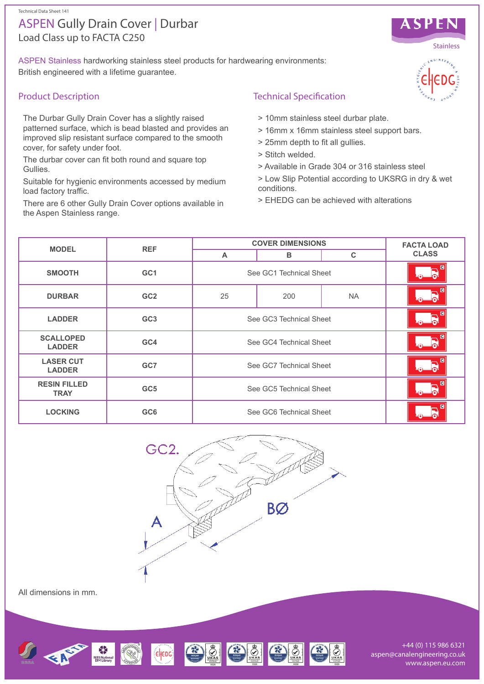# Load Class up to FACTA C250 ASPEN Gully Drain Cover | Durbar

ASPEN Stainless hardworking stainless steel products for hardwearing environments: British engineered with a lifetime guarantee.

### Product Description

The Durbar Gully Drain Cover has a slightly raised patterned surface, which is bead blasted and provides an improved slip resistant surface compared to the smooth cover, for safety under foot.

The durbar cover can fit both round and square top Gullies.

Suitable for hygienic environments accessed by medium load factory traffic.

There are 6 other Gully Drain Cover options available in the Aspen Stainless range.

## Technical Specification

- > 10mm stainless steel durbar plate.
- > 16mm x 16mm stainless steel support bars.
- > 25mm depth to fit all gullies.
- > Stitch welded.
- > Available in Grade 304 or 316 stainless steel
- > Low Slip Potential according to UKSRG in dry & wet conditions.
- > EHEDG can be achieved with alterations

| <b>MODEL</b>                       | <b>REF</b>      | <b>COVER DIMENSIONS</b> |     |             | <b>FACTA LOAD</b>                         |
|------------------------------------|-----------------|-------------------------|-----|-------------|-------------------------------------------|
|                                    |                 | $\mathsf{A}$            | в   | $\mathbf C$ | <b>CLASS</b>                              |
| <b>SMOOTH</b>                      | GC <sub>1</sub> | See GC1 Technical Sheet |     |             | $\blacksquare$<br>$\mathbf{E}$<br>$\odot$ |
| <b>DURBAR</b>                      | GC <sub>2</sub> | 25                      | 200 | <b>NA</b>   | $\overline{a}$<br>R                       |
| <b>LADDER</b>                      | GC <sub>3</sub> | See GC3 Technical Sheet |     |             | $\overline{G}$<br>$\sim$ $\sim$           |
| <b>SCALLOPED</b><br><b>LADDER</b>  | GC4             | See GC4 Technical Sheet |     |             | $\overline{c}$                            |
| <b>LASER CUT</b><br><b>LADDER</b>  | GC7             | See GC7 Technical Sheet |     |             | $\overline{G}$<br>$\mathbf{E}$<br>⊕∟      |
| <b>RESIN FILLED</b><br><b>TRAY</b> | GC <sub>5</sub> | See GC5 Technical Sheet |     |             | $\overline{c}$<br>$\sim$                  |
| <b>LOCKING</b>                     | GC <sub>6</sub> | See GC6 Technical Sheet |     |             | $\overline{G}$                            |



All dimensions in mm.



+44 (0) 115 986 6321 aspen@canalengineering.co.uk www.aspen.eu.com